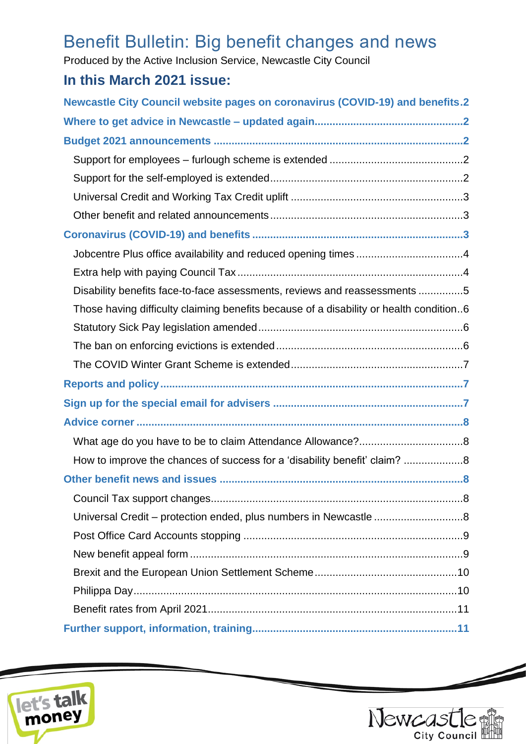# Benefit Bulletin: Big benefit changes and news

Produced by the Active Inclusion Service, Newcastle City Council

# **In this March 2021 issue:**

| <b>Newcastle City Council website pages on coronavirus (COVID-19) and benefits.2</b>   |  |  |  |
|----------------------------------------------------------------------------------------|--|--|--|
|                                                                                        |  |  |  |
|                                                                                        |  |  |  |
|                                                                                        |  |  |  |
|                                                                                        |  |  |  |
|                                                                                        |  |  |  |
|                                                                                        |  |  |  |
|                                                                                        |  |  |  |
|                                                                                        |  |  |  |
|                                                                                        |  |  |  |
| Disability benefits face-to-face assessments, reviews and reassessments 5              |  |  |  |
| Those having difficulty claiming benefits because of a disability or health condition6 |  |  |  |
|                                                                                        |  |  |  |
|                                                                                        |  |  |  |
|                                                                                        |  |  |  |
|                                                                                        |  |  |  |
|                                                                                        |  |  |  |
|                                                                                        |  |  |  |
|                                                                                        |  |  |  |
| How to improve the chances of success for a 'disability benefit' claim? 8              |  |  |  |
|                                                                                        |  |  |  |
|                                                                                        |  |  |  |
| Universal Credit - protection ended, plus numbers in Newcastle 8                       |  |  |  |
|                                                                                        |  |  |  |
|                                                                                        |  |  |  |
|                                                                                        |  |  |  |
|                                                                                        |  |  |  |
|                                                                                        |  |  |  |
|                                                                                        |  |  |  |





 $\overline{\phantom{a}}$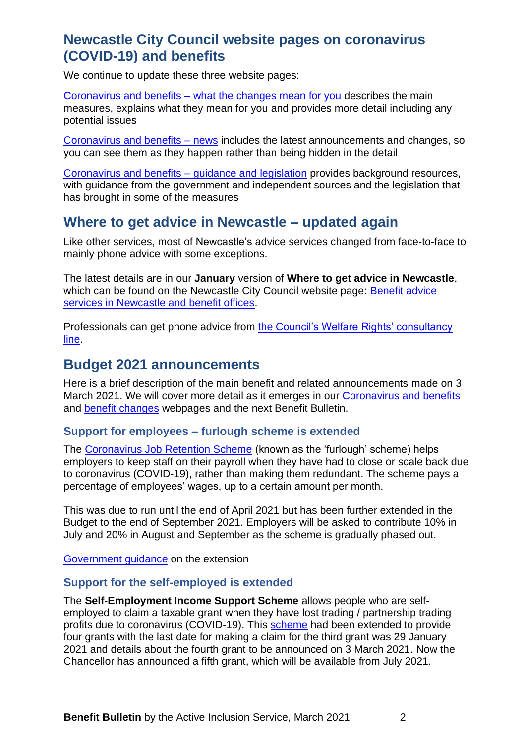### <span id="page-1-0"></span>**Newcastle City Council website pages on coronavirus (COVID-19) and benefits**

We continue to update these three website pages:

Coronavirus and benefits – [what the changes mean for you](https://www.newcastle.gov.uk/services/welfare-benefits/welfare-rights-and-money-advice/coronavirus-and-benefits-what-changes) describes the main measures, explains what they mean for you and provides more detail including any potential issues

[Coronavirus and benefits –](https://www.newcastle.gov.uk/services/coronavirus-and-benefits-news) news includes the latest announcements and changes, so you can see them as they happen rather than being hidden in the detail

[Coronavirus and benefits –](https://www.newcastle.gov.uk/services/coronavirus-and-benefits-guidance-and-legislation) guidance and legislation provides background resources, with guidance from the government and independent sources and the legislation that has brought in some of the measures

### <span id="page-1-1"></span>**Where to get advice in Newcastle – updated again**

Like other services, most of Newcastle's advice services changed from face-to-face to mainly phone advice with some exceptions.

The latest details are in our **January** version of **Where to get advice in Newcastle**, which can be found on the Newcastle City Council website page: [Benefit advice](https://www.newcastle.gov.uk/services/welfare-benefits/welfare-rights-and-money-advice/benefit-advice-services-newcastle-and)  [services in Newcastle and benefit offices.](https://www.newcastle.gov.uk/services/welfare-benefits/welfare-rights-and-money-advice/benefit-advice-services-newcastle-and)

Professionals can get phone advice from [the Council's Welfare Rights' consultancy](https://www.newcastle.gov.uk/services/welfare-benefits/welfare-rights-and-money-advice/information-professionals-and-volunteers#consult)  [line.](https://www.newcastle.gov.uk/services/welfare-benefits/welfare-rights-and-money-advice/information-professionals-and-volunteers#consult)

### <span id="page-1-2"></span>**Budget 2021 announcements**

Here is a brief description of the main benefit and related announcements made on 3 March 2021. We will cover more detail as it emerges in our [Coronavirus and benefits](https://www.newcastle.gov.uk/services/welfare-benefits/welfare-rights-and-money-advice/coronavirus-and-benefits-what-changes) and [benefit changes](https://www.newcastle.gov.uk/services/welfare-benefits/welfare-rights-and-money-advice/changes-benefits-system) webpages and the next Benefit Bulletin.

#### <span id="page-1-3"></span>**Support for employees – furlough scheme is extended**

The [Coronavirus Job Retention Scheme](https://www.gov.uk/guidance/claim-for-wages-through-the-coronavirus-job-retention-scheme) (known as the 'furlough' scheme) helps employers to keep staff on their payroll when they have had to close or scale back due to coronavirus (COVID-19), rather than making them redundant. The scheme pays a percentage of employees' wages, up to a certain amount per month.

This was due to run until the end of April 2021 but has been further extended in the Budget to the end of September 2021. Employers will be asked to contribute 10% in July and 20% in August and September as the scheme is gradually phased out.

<span id="page-1-4"></span>[Government guidance](https://www.gov.uk/government/publications/changes-to-the-coronavirus-job-retention-scheme?utm_medium=email&utm_campaign=govuk-notifications&utm_source=fa4e2641-11fa-40a1-8d77-08ffb3b31253&utm_content=daily) on the extension

#### **Support for the self-employed is extended**

The **Self-Employment Income Support Scheme** allows people who are selfemployed to claim a taxable grant when they have lost trading / partnership trading profits due to coronavirus (COVID-19). This [scheme](https://www.gov.uk/guidance/claim-a-grant-through-the-coronavirus-covid-19-self-employment-income-support-scheme) had been extended to provide four grants with the last date for making a claim for the third grant was 29 January 2021 and details about the fourth grant to be announced on 3 March 2021. Now the Chancellor has announced a fifth grant, which will be available from July 2021.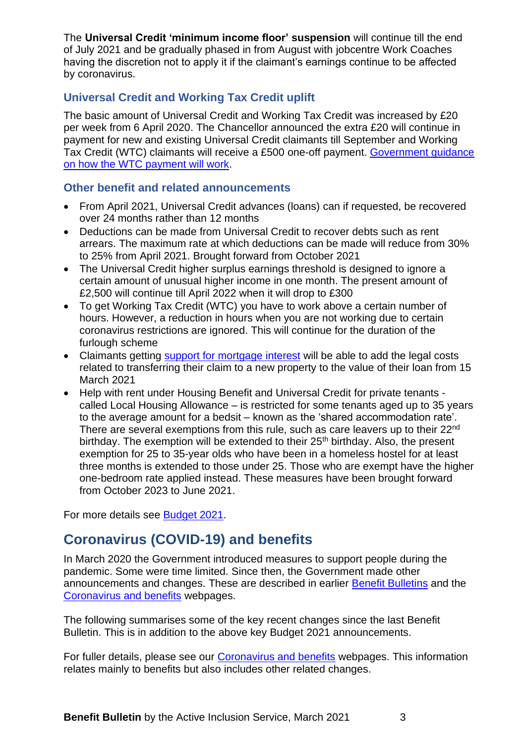The **Universal Credit 'minimum income floor' suspension** will continue till the end of July 2021 and be gradually phased in from August with jobcentre Work Coaches having the discretion not to apply it if the claimant's earnings continue to be affected by coronavirus.

### <span id="page-2-0"></span>**Universal Credit and Working Tax Credit uplift**

The basic amount of Universal Credit and Working Tax Credit was increased by £20 per week from 6 April 2020. The Chancellor announced the extra £20 will continue in payment for new and existing Universal Credit claimants till September and Working Tax Credit (WTC) claimants will receive a £500 one-off payment. [Government guidance](https://www.gov.uk/guidance/new-one-off-500-payment-for-working-households-receiving-tax-credits?utm_medium=email&utm_campaign=govuk-notifications&utm_source=031600f9-6ede-481b-8e63-04534b7f7ec6&utm_content=daily)  [on how the WTC payment will work.](https://www.gov.uk/guidance/new-one-off-500-payment-for-working-households-receiving-tax-credits?utm_medium=email&utm_campaign=govuk-notifications&utm_source=031600f9-6ede-481b-8e63-04534b7f7ec6&utm_content=daily)

#### <span id="page-2-1"></span>**Other benefit and related announcements**

- From April 2021, Universal Credit advances (loans) can if requested, be recovered over 24 months rather than 12 months
- Deductions can be made from Universal Credit to recover debts such as rent arrears. The maximum rate at which deductions can be made will reduce from 30% to 25% from April 2021. Brought forward from October 2021
- The Universal Credit higher surplus earnings threshold is designed to ignore a certain amount of unusual higher income in one month. The present amount of £2,500 will continue till April 2022 when it will drop to £300
- To get Working Tax Credit (WTC) you have to work above a certain number of hours. However, a reduction in hours when you are not working due to certain coronavirus restrictions are ignored. This will continue for the duration of the furlough scheme
- Claimants getting [support for mortgage interest](https://www.turn2us.org.uk/Benefit-guides/Support-for-Mortgage-Interest/What-is-Support-for-Mortgage-Interest?gclid=EAIaIQobChMIy4XMtM2U7wIVy4FQBh1nbQ3oEAAYASAAEgISCfD_BwE) will be able to add the legal costs related to transferring their claim to a new property to the value of their loan from 15 March 2021
- Help with rent under Housing Benefit and Universal Credit for private tenants called Local Housing Allowance – is restricted for some tenants aged up to 35 years to the average amount for a bedsit – known as the 'shared accommodation rate'. There are several exemptions from this rule, such as care leavers up to their 22<sup>nd</sup> birthday. The exemption will be extended to their 25<sup>th</sup> birthday. Also, the present exemption for 25 to 35-year olds who have been in a homeless hostel for at least three months is extended to those under 25. Those who are exempt have the higher one-bedroom rate applied instead. These measures have been brought forward from October 2023 to June 2021.

For more details see **Budget 2021**.

# <span id="page-2-2"></span>**Coronavirus (COVID-19) and benefits**

In March 2020 the Government introduced measures to support people during the pandemic. Some were time limited. Since then, the Government made other announcements and changes. These are described in earlier [Benefit Bulletins](https://www.newcastle.gov.uk/services/welfare-benefits/welfare-rights-and-money-advice/information-professionals-and-volunteers#bulletins) and the [Coronavirus and benefits](https://www.newcastle.gov.uk/services/welfare-benefits/welfare-rights-and-money-advice/coronavirus-and-benefits-what-changes) webpages.

The following summarises some of the key recent changes since the last Benefit Bulletin. This is in addition to the above key Budget 2021 announcements.

For fuller details, please see our [Coronavirus and benefits](https://www.newcastle.gov.uk/services/welfare-benefits/welfare-rights-and-money-advice/coronavirus-and-benefits-what-changes) webpages. This information relates mainly to benefits but also includes other related changes.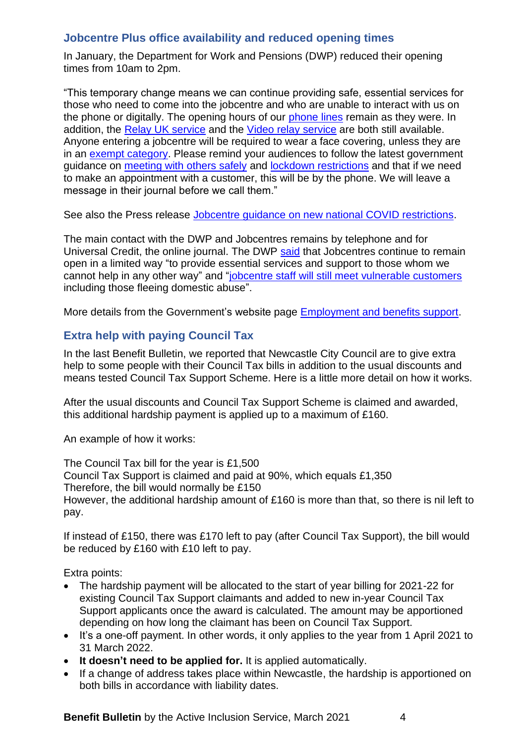#### <span id="page-3-0"></span>**Jobcentre Plus office availability and reduced opening times**

In January, the Department for Work and Pensions (DWP) reduced their opening times from 10am to 2pm.

"This temporary change means we can continue providing safe, essential services for those who need to come into the jobcentre and who are unable to interact with us on the phone or digitally. The opening hours of our [phone lines](https://www.understandinguniversalcredit.gov.uk/already-claimed/helpline/) remain as they were. In addition, the [Relay UK service](https://www.relayuk.bt.com/) and the [Video relay service](https://dwpuc.signvideo.net/) are both still available. Anyone entering a jobcentre will be required to wear a face covering, unless they are in an [exempt category.](https://www.gov.uk/government/publications/face-coverings-when-to-wear-one-and-how-to-make-your-own/face-coverings-when-to-wear-one-and-how-to-make-your-own#exemptions) Please remind your audiences to follow the latest government guidance on [meeting with others safely](https://www.gov.uk/government/publications/coronavirus-covid-19-meeting-with-others-safely-social-distancing/coronavirus-covid-19-meeting-with-others-safely-social-distancing) and [lockdown restrictions](https://www.gov.uk/find-coronavirus-local-restrictions) and that if we need to make an appointment with a customer, this will be by the phone. We will leave a message in their journal before we call them."

See also the Press release [Jobcentre guidance on new national COVID restrictions.](https://www.gov.uk/government/news/jobcentre-guidance-on-new-national-covid-restrictions-1?utm_medium=email&utm_campaign=govuk-notifications&utm_source=aec4d0ad-f849-4226-a601-69ed1f05312f&utm_content=daily)

The main contact with the DWP and Jobcentres remains by telephone and for Universal Credit, the online journal. The DWP [said](https://www.gov.uk/government/news/jobcentre-guidance-on-new-national-covid-restrictions?utm_source=c8c8329e-7fd3-4f03-b8ff-1fc0fb6ad894&utm_medium=email&utm_campaign=govuk-notifications&utm_content=daily) that Jobcentres continue to remain open in a limited way "to provide essential services and support to those whom we cannot help in any other way" and ["jobcentre staff will still meet vulnerable customers](https://www.understandinguniversalcredit.gov.uk/employment-and-benefits-support/faqs/#jobcentreappointments) including those fleeing domestic abuse".

More details from the Government's website page [Employment and benefits support.](https://www.understandinguniversalcredit.gov.uk/employment-and-benefits-support/)

#### <span id="page-3-1"></span>**Extra help with paying Council Tax**

In the last Benefit Bulletin, we reported that Newcastle City Council are to give extra help to some people with their Council Tax bills in addition to the usual discounts and means tested Council Tax Support Scheme. Here is a little more detail on how it works.

After the usual discounts and Council Tax Support Scheme is claimed and awarded, this additional hardship payment is applied up to a maximum of £160.

An example of how it works:

The Council Tax bill for the year is £1,500 Council Tax Support is claimed and paid at 90%, which equals £1,350 Therefore, the bill would normally be £150 However, the additional hardship amount of £160 is more than that, so there is nil left to pay.

If instead of £150, there was £170 left to pay (after Council Tax Support), the bill would be reduced by £160 with £10 left to pay.

Extra points:

- The hardship payment will be allocated to the start of year billing for 2021-22 for existing Council Tax Support claimants and added to new in-year Council Tax Support applicants once the award is calculated. The amount may be apportioned depending on how long the claimant has been on Council Tax Support.
- It's a one-off payment. In other words, it only applies to the year from 1 April 2021 to 31 March 2022.
- **It doesn't need to be applied for.** It is applied automatically.
- If a change of address takes place within Newcastle, the hardship is apportioned on both bills in accordance with liability dates.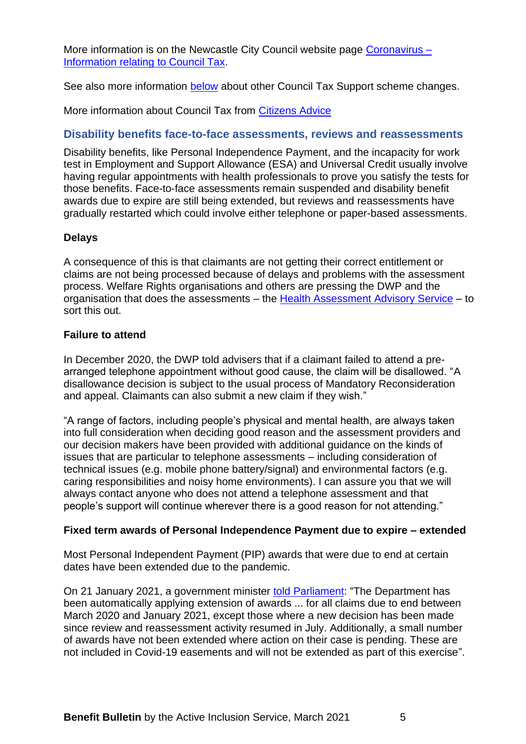More information is on the Newcastle City Council website page [Coronavirus –](https://www.newcastle.gov.uk/services/council-tax/council-tax-exemptions/coronavirus-information-relating-council-tax) [Information relating to Council Tax.](https://www.newcastle.gov.uk/services/council-tax/council-tax-exemptions/coronavirus-information-relating-council-tax)

See also more information [below](#page-7-6) about other Council Tax Support scheme changes.

More information about Council Tax from [Citizens Advice](https://www.citizensadvice.org.uk/housing/council-tax/council-tax/)

#### <span id="page-4-0"></span>**Disability benefits face-to-face assessments, reviews and reassessments**

Disability benefits, like Personal Independence Payment, and the incapacity for work test in Employment and Support Allowance (ESA) and Universal Credit usually involve having regular appointments with health professionals to prove you satisfy the tests for those benefits. Face-to-face assessments remain suspended and disability benefit awards due to expire are still being extended, but reviews and reassessments have gradually restarted which could involve either telephone or paper-based assessments.

#### **Delays**

A consequence of this is that claimants are not getting their correct entitlement or claims are not being processed because of delays and problems with the assessment process. Welfare Rights organisations and others are pressing the DWP and the organisation that does the assessments – the [Health Assessment Advisory Service](https://www.chdauk.co.uk/) – to sort this out.

#### **Failure to attend**

In December 2020, the DWP told advisers that if a claimant failed to attend a prearranged telephone appointment without good cause, the claim will be disallowed. "A disallowance decision is subject to the usual process of Mandatory Reconsideration and appeal. Claimants can also submit a new claim if they wish."

"A range of factors, including people's physical and mental health, are always taken into full consideration when deciding good reason and the assessment providers and our decision makers have been provided with additional guidance on the kinds of issues that are particular to telephone assessments – including consideration of technical issues (e.g. mobile phone battery/signal) and environmental factors (e.g. caring responsibilities and noisy home environments). I can assure you that we will always contact anyone who does not attend a telephone assessment and that people's support will continue wherever there is a good reason for not attending."

#### **Fixed term awards of Personal Independence Payment due to expire – extended**

Most Personal Independent Payment (PIP) awards that were due to end at certain dates have been extended due to the pandemic.

On 21 January 2021, a government minister [told Parliament:](https://questions-statements.parliament.uk/written-questions/detail/2021-01-18/139052) "The Department has been automatically applying extension of awards ... for all claims due to end between March 2020 and January 2021, except those where a new decision has been made since review and reassessment activity resumed in July. Additionally, a small number of awards have not been extended where action on their case is pending. These are not included in Covid-19 easements and will not be extended as part of this exercise".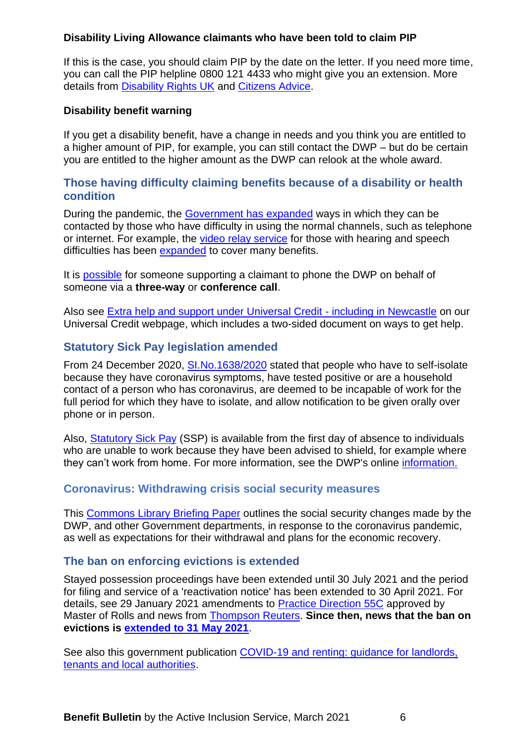#### **Disability Living Allowance claimants who have been told to claim PIP**

If this is the case, you should claim PIP by the date on the letter. If you need more time, you can call the PIP helpline 0800 121 4433 who might give you an extension. More details from [Disability Rights UK](https://www.disabilityrightsuk.org/news/2020/july/suspension-pip-and-esa-face-face-assessments-continues-kept-under-review) and [Citizens Advice.](https://www.citizensadvice.org.uk/benefits/sick-or-disabled-people-and-carers/pip/before-claiming/if-you-get-dla/)

#### **Disability benefit warning**

If you get a disability benefit, have a change in needs and you think you are entitled to a higher amount of PIP, for example, you can still contact the DWP – but do be certain you are entitled to the higher amount as the DWP can relook at the whole award.

#### <span id="page-5-0"></span>**Those having difficulty claiming benefits because of a disability or health condition**

During the pandemic, the [Government has expanded](https://www.gov.uk/guidance/get-help-with-benefits-and-pensions-if-you-have-accessibility-needs) ways in which they can be contacted by those who have difficulty in using the normal channels, such as telephone or internet. For example, the [video relay service](https://main.signvideo.me/app/8/10031) for those with hearing and speech difficulties has been [expanded](http://news.dwp.gov.uk/dwplz/lz.aspx?p1=M31DUzMDg4NFMzNDI0OkE5RTREMDZERjczMzMyRkM2QkQ1NkQzMTgzNjA0REE4-&CC=&p=0) to cover many benefits.

It is [possible](https://www.gov.uk/pip/how-to-claim) for someone supporting a claimant to phone the DWP on behalf of someone via a **three-way** or **conference call**.

Also see [Extra help and support under Universal Credit -](https://www.newcastle.gov.uk/services/welfare-benefits/welfare-rights-and-money-advice/changes-benefits-system/universal-credit#extra) including in Newcastle on our Universal Credit webpage, which includes a two-sided document on ways to get help.

#### <span id="page-5-1"></span>**Statutory Sick Pay legislation amended**

From 24 December 2020, [SI.No.1638/2020](https://www.legislation.gov.uk/uksi/2020/1638/made) stated that people who have to self-isolate because they have coronavirus symptoms, have tested positive or are a household contact of a person who has coronavirus, are deemed to be incapable of work for the full period for which they have to isolate, and allow notification to be given orally over phone or in person.

Also, [Statutory Sick Pay](https://news.dwp.gov.uk/dwplz/lz.aspx?p1=MBGDU1OTY4M1M5NjI0Ojc0MTgzQUQ1NTkyMzRDMEMzMTU4NTM0MkNENjAxMjYx-&CC=&w=74712) (SSP) is available from the first day of absence to individuals who are unable to work because they have been advised to shield, for example where they can't work from home. For more information, see the DWP's online [information.](https://news.dwp.gov.uk/dwplz/lz.aspx?p1=MBGDU1OTY4M1M5NjI0Ojc0MTgzQUQ1NTkyMzRDMEMzMTU4NTM0MkNENjAxMjYx-&CC=&w=74713)

#### **Coronavirus: Withdrawing crisis social security measures**

This [Commons Library Briefing Paper](https://parliament.us16.list-manage.com/track/click?u=3ad7e4c57a864f07e4db008c4&id=fd7b17b516&e=4045056713) outlines the social security changes made by the DWP, and other Government departments, in response to the coronavirus pandemic, as well as expectations for their withdrawal and plans for the economic recovery.

#### <span id="page-5-2"></span>**The ban on enforcing evictions is extended**

Stayed possession proceedings have been extended until 30 July 2021 and the period for filing and service of a 'reactivation notice' has been extended to 30 April 2021. For details, see 29 January 2021 amendments to [Practice Direction 55C](https://www.justice.gov.uk/courts/procedure-rules/civil/rules/practice-direction-55c-coronavirus-temporary-provision-in-relation-to-possession-proceedings) approved by Master of Rolls and news from [Thompson Reuters.](https://uk.practicallaw.thomsonreuters.com/w-029-4540?transitionType=Default&contextData=(sc.Default)&firstPage=true) **Since then, news that the ban on evictions is [extended to 31 May 2021](https://www.which.co.uk/news/2021/03/coronavirus-eviction-ban-extended-what-it-means-for-renters-and-landlords/)**.

See also this government publication COVID-19 and renting: guidance for landlords, [tenants and local authorities.](https://www.gov.uk/government/publications/covid-19-and-renting-guidance-for-landlords-tenants-and-local-authorities?utm_medium=email&utm_campaign=govuk-notifications&utm_source=166fa78b-3f27-484b-a2dc-709a7cfd417c&utm_content=daily)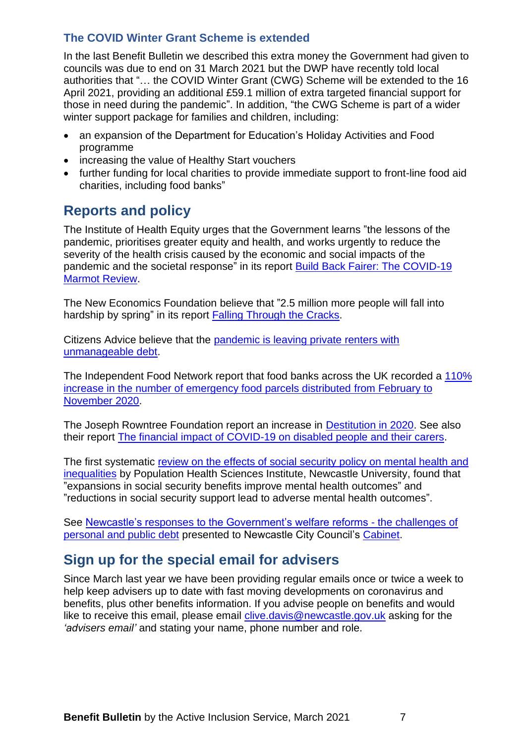#### <span id="page-6-0"></span>**The COVID Winter Grant Scheme is extended**

In the last Benefit Bulletin we described this extra money the Government had given to councils was due to end on 31 March 2021 but the DWP have recently told local authorities that "… the COVID Winter Grant (CWG) Scheme will be extended to the 16 April 2021, providing an additional £59.1 million of extra targeted financial support for those in need during the pandemic". In addition, "the CWG Scheme is part of a wider winter support package for families and children, including:

- an expansion of the Department for Education's Holiday Activities and Food programme
- increasing the value of Healthy Start vouchers
- further funding for local charities to provide immediate support to front-line food aid charities, including food banks"

### <span id="page-6-1"></span>**Reports and policy**

The Institute of Health Equity urges that the Government learns "the lessons of the pandemic, prioritises greater equity and health, and works urgently to reduce the severity of the health crisis caused by the economic and social impacts of the pandemic and the societal response" in its report [Build Back Fairer: The COVID-19](http://www.instituteofhealthequity.org/about-our-work/latest-updates-from-the-institute/build-back-fairer)  [Marmot Review.](http://www.instituteofhealthequity.org/about-our-work/latest-updates-from-the-institute/build-back-fairer)

The New Economics Foundation believe that "2.5 million more people will fall into hardship by spring" in its report [Falling Through the Cracks.](https://neweconomics.org/2020/11/falling-through-the-cracks)

Citizens Advice believe that the [pandemic is leaving private renters with](https://www.citizensadvice.org.uk/about-us/policy/policy-research-topics/housing-policy-research/new-year-same-arrears-how-the-pandemic-is-leaving-private-renters-with-unmanageable-debt/)  [unmanageable debt.](https://www.citizensadvice.org.uk/about-us/policy/policy-research-topics/housing-policy-research/new-year-same-arrears-how-the-pandemic-is-leaving-private-renters-with-unmanageable-debt/)

The Independent Food Network report that food banks across the UK recorded a [110%](https://uploads.strikinglycdn.com/files/f94e04eb-00ff-4ab1-99ae-6a901ee885b4/IFAN%20REPORT%2022.12.20%20FINAL.pdf)  [increase in the number of emergency food parcels distributed from February to](https://uploads.strikinglycdn.com/files/f94e04eb-00ff-4ab1-99ae-6a901ee885b4/IFAN%20REPORT%2022.12.20%20FINAL.pdf)  [November](https://uploads.strikinglycdn.com/files/f94e04eb-00ff-4ab1-99ae-6a901ee885b4/IFAN%20REPORT%2022.12.20%20FINAL.pdf) 2020.

The Joseph Rowntree Foundation report an increase in [Destitution in 2020.](https://www.jrf.org.uk/report/destitution-uk-2020) See also their report [The financial impact of COVID-19 on disabled people and their carers.](https://www.jrf.org.uk/report/financial-impact-covid-19-disabled-people-and-their-carers)

The first systematic [review on the effects of social security policy](https://www.sciencedirect.com/science/article/pii/S0277953621000496) on mental health and [inequalities](https://www.sciencedirect.com/science/article/pii/S0277953621000496) by Population Health Sciences Institute, Newcastle University, found that "expansions in social security benefits improve mental health outcomes" and "reductions in social security support lead to adverse mental health outcomes".

See Newcastle's responses [to the Government's welfare reforms -](https://democracy.newcastle.gov.uk/ieListDocuments.aspx?CId=857&MId=12619&Ver=4) the challenges of [personal and public debt](https://democracy.newcastle.gov.uk/ieListDocuments.aspx?CId=857&MId=12619&Ver=4) presented to Newcastle City Council's [Cabinet.](https://democracy.newcastle.gov.uk/mgCommitteeDetails.aspx?ID=857)

# <span id="page-6-2"></span>**Sign up for the special email for advisers**

Since March last year we have been providing regular emails once or twice a week to help keep advisers up to date with fast moving developments on coronavirus and benefits, plus other benefits information. If you advise people on benefits and would like to receive this email, please email [clive.davis@newcastle.gov.uk](mailto:clive.davis@newcastle.gov.uk) asking for the *'advisers email'* and stating your name, phone number and role.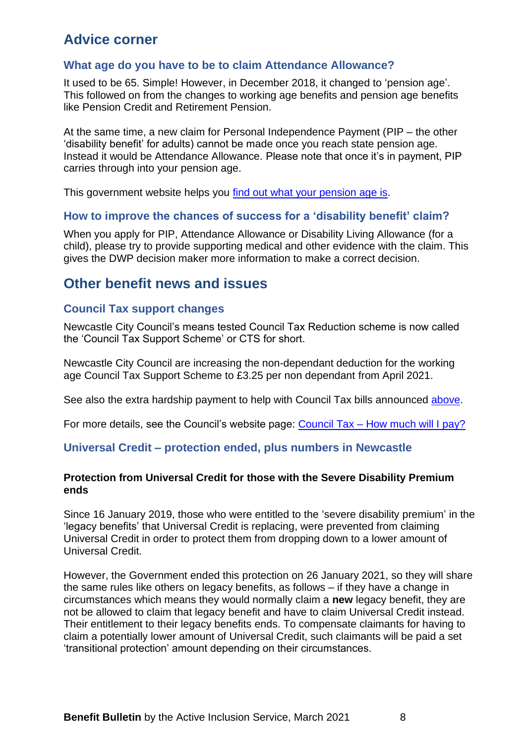### <span id="page-7-0"></span>**Advice corner**

#### <span id="page-7-1"></span>**What age do you have to be to claim Attendance Allowance?**

It used to be 65. Simple! However, in December 2018, it changed to 'pension age'. This followed on from the changes to working age benefits and pension age benefits like Pension Credit and Retirement Pension.

At the same time, a new claim for Personal Independence Payment (PIP – the other 'disability benefit' for adults) cannot be made once you reach state pension age. Instead it would be Attendance Allowance. Please note that once it's in payment, PIP carries through into your pension age.

This government website helps you [find out what your pension age is.](https://www.gov.uk/state-pension-age)

#### <span id="page-7-2"></span>**How to improve the chances of success for a 'disability benefit' claim?**

When you apply for PIP, Attendance Allowance or Disability Living Allowance (for a child), please try to provide supporting medical and other evidence with the claim. This gives the DWP decision maker more information to make a correct decision.

### <span id="page-7-3"></span>**Other benefit news and issues**

#### <span id="page-7-4"></span>**Council Tax support changes**

<span id="page-7-6"></span>Newcastle City Council's means tested Council Tax Reduction scheme is now called the 'Council Tax Support Scheme' or CTS for short.

Newcastle City Council are increasing the non-dependant deduction for the working age Council Tax Support Scheme to £3.25 per non dependant from April 2021.

See also the extra hardship payment to help with Council Tax bills announced [above.](#page-3-1)

<span id="page-7-5"></span>For more details, see the Council's website page: Council Tax – [How much will I pay?](https://www.newcastle.gov.uk/services/council-tax/how-pay-your-council-tax/council-tax-how-much-will-i-pay)

#### **Universal Credit – protection ended, plus numbers in Newcastle**

#### **Protection from Universal Credit for those with the Severe Disability Premium ends**

Since 16 January 2019, those who were entitled to the 'severe disability premium' in the 'legacy benefits' that Universal Credit is replacing, were prevented from claiming Universal Credit in order to protect them from dropping down to a lower amount of Universal Credit.

However, the Government ended this protection on 26 January 2021, so they will share the same rules like others on legacy benefits, as follows – if they have a change in circumstances which means they would normally claim a **new** legacy benefit, they are not be allowed to claim that legacy benefit and have to claim Universal Credit instead. Their entitlement to their legacy benefits ends. To compensate claimants for having to claim a potentially lower amount of Universal Credit, such claimants will be paid a set 'transitional protection' amount depending on their circumstances.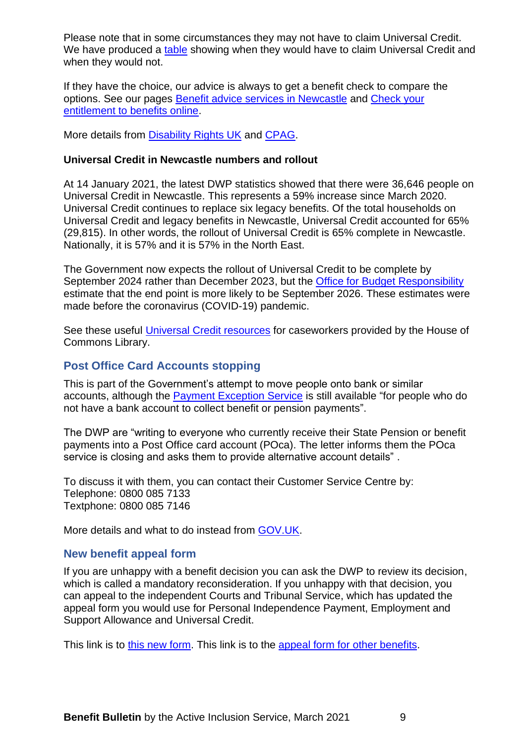Please note that in some circumstances they may not have to claim Universal Credit. We have produced a [table](https://www.newcastle.gov.uk/services/welfare-benefits/welfare-rights-and-money-advice/changes-benefits-system/universal-credit#howthis) showing when they would have to claim Universal Credit and when they would not.

If they have the choice, our advice is always to get a benefit check to compare the options. See our pages [Benefit advice services in Newcastle](https://www.newcastle.gov.uk/services/welfare-benefits/welfare-rights-and-money-advice/check-your-entitlement-benefits-online) and [Check your](https://www.newcastle.gov.uk/services/welfare-benefits/welfare-rights-and-money-advice/check-your-entitlement-benefits-online)  [entitlement to benefits online.](https://www.newcastle.gov.uk/services/welfare-benefits/welfare-rights-and-money-advice/check-your-entitlement-benefits-online)

More details from [Disability Rights UK](https://www.disabilityrightsuk.org/news/2021/january/claimants-severe-disability-premium-awards-no-longer-exempt-requirement-claim) and [CPAG.](https://askcpag.org.uk/content/206118/https-/askcpag-org-uk/content/205718/the-sdp-gateway)

#### **Universal Credit in Newcastle numbers and rollout**

At 14 January 2021, the latest DWP statistics showed that there were 36,646 people on Universal Credit in Newcastle. This represents a 59% increase since March 2020. Universal Credit continues to replace six legacy benefits. Of the total households on Universal Credit and legacy benefits in Newcastle, Universal Credit accounted for 65% (29,815). In other words, the rollout of Universal Credit is 65% complete in Newcastle. Nationally, it is 57% and it is 57% in the North East.

The Government now expects the rollout of Universal Credit to be complete by September 2024 rather than December 2023, but the [Office for Budget Responsibility](https://cdn.obr.uk/EFO_March-2020_Accessible.pdf) estimate that the end point is more likely to be September 2026. These estimates were made before the coronavirus (COVID-19) pandemic.

See these useful [Universal Credit resources](https://commonslibrary.parliament.uk/universal-credit-information-sources/?utm_source=HOC+Library+-+Research+alerts&utm_campaign=e8e01f114e-EMAIL_CAMPAIGN_2021_01_15_08_00&utm_medium=email&utm_term=0_a9da1c9b17-e8e01f114e-102519877&mc_cid=e8e01f114e&mc_eid=4045056713) for caseworkers provided by the House of Commons Library.

#### <span id="page-8-0"></span>**Post Office Card Accounts stopping**

This is part of the Government's attempt to move people onto bank or similar accounts, although the [Payment Exception Service](https://www.gov.uk/payment-exception-service) is still available "for people who do not have a bank account to collect benefit or pension payments".

The DWP are "writing to everyone who currently receive their State Pension or benefit payments into a Post Office card account (POca). The letter informs them the POca service is closing and asks them to provide alternative account details" .

To discuss it with them, you can contact their Customer Service Centre by: Telephone: 0800 085 7133 Textphone: 0800 085 7146

<span id="page-8-1"></span>More details and what to do instead from [GOV.UK.](https://www.gov.uk/how-to-have-your-benefits-paid)

#### **New benefit appeal form**

If you are unhappy with a benefit decision you can ask the DWP to review its decision, which is called a mandatory reconsideration. If you unhappy with that decision, you can appeal to the independent Courts and Tribunal Service, which has updated the appeal form you would use for Personal Independence Payment, Employment and Support Allowance and Universal Credit.

This link is to [this new form.](https://assets.publishing.service.gov.uk/government/uploads/system/uploads/attachment_data/file/947104/sscs1-pip-esa-uc-eng.pdf) This link is to the [appeal form for other benefits.](https://www.gov.uk/appeal-benefit-decision)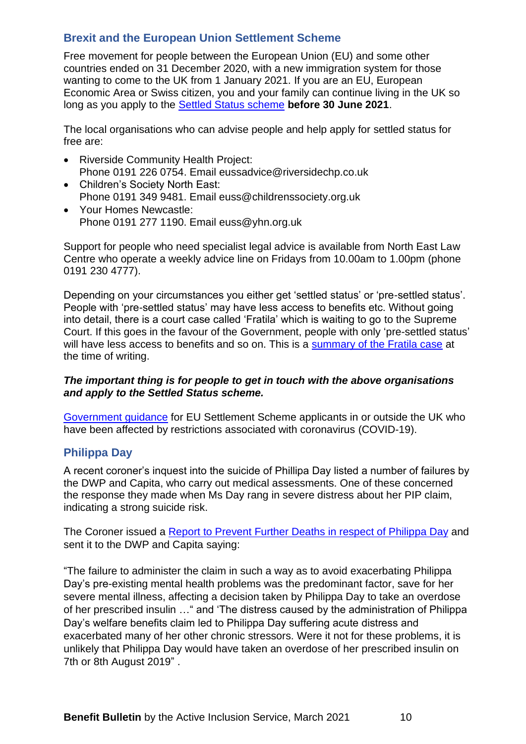#### <span id="page-9-0"></span>**Brexit and the European Union Settlement Scheme**

Free movement for people between the European Union (EU) and some other countries ended on 31 December 2020, with a new immigration system for those wanting to come to the UK from 1 January 2021. If you are an EU, European Economic Area or Swiss citizen, you and your family can continue living in the UK so long as you apply to the [Settled Status scheme](https://www.gov.uk/settled-status-eu-citizens-families) **before 30 June 2021**.

The local organisations who can advise people and help apply for settled status for free are:

- Riverside Community Health Project: Phone 0191 226 0754. Email eussadvice@riversidechp.co.uk
- Children's Society North East: Phone 0191 349 9481. Email euss@childrenssociety.org.uk
- Your Homes Newcastle: Phone 0191 277 1190. Email euss@yhn.org.uk

Support for people who need specialist legal advice is available from North East Law Centre who operate a weekly advice line on Fridays from 10.00am to 1.00pm (phone 0191 230 4777).

Depending on your circumstances you either get 'settled status' or 'pre-settled status'. People with 'pre-settled status' may have less access to benefits etc. Without going into detail, there is a court case called 'Fratila' which is waiting to go to the Supreme Court. If this goes in the favour of the Government, people with only 'pre-settled status' will have less access to benefits and so on. This is a [summary of the Fratila case](https://www.freemovement.org.uk/supreme-court-to-hear-appeal-on-eu-citizens-access-to-benefits/?utm_source=rss&utm_medium=rss&utm_campaign=supreme-court-to-hear-appeal-on-eu-citizens-access-to-benefits&utm_source=Free+Movement&utm_campaign=bf557b2d0b-EU+rights+updates&utm_medium=email&utm_term=0_792133aa40-bf557b2d0b-116417490&mc_cid=bf557b2d0b&mc_eid=110fdfc55a) at the time of writing.

#### *The important thing is for people to get in touch with the above organisations and apply to the Settled Status scheme.*

[Government guidance](https://www.gov.uk/guidance/coronavirus-covid-19-eu-settlement-scheme-guidance-for-applicants?utm_source=3dbf17f3-4c5f-41c0-9bd6-6ee057a62fe0&utm_medium=email&utm_campaign=govuk-notifications&utm_content=daily) for EU Settlement Scheme applicants in or outside the UK who have been affected by restrictions associated with coronavirus (COVID-19).

#### <span id="page-9-1"></span>**Philippa Day**

A recent coroner's inquest into the suicide of Phillipa Day listed a number of failures by the DWP and Capita, who carry out medical assessments. One of these concerned the response they made when Ms Day rang in severe distress about her PIP claim, indicating a strong suicide risk.

The Coroner issued a [Report to Prevent Further Deaths in respect of Philippa Day](https://www.judiciary.uk/publications/philippa-day/) and sent it to the DWP and Capita saying:

"The failure to administer the claim in such a way as to avoid exacerbating Philippa Day's pre-existing mental health problems was the predominant factor, save for her severe mental illness, affecting a decision taken by Philippa Day to take an overdose of her prescribed insulin …" and 'The distress caused by the administration of Philippa Day's welfare benefits claim led to Philippa Day suffering acute distress and exacerbated many of her other chronic stressors. Were it not for these problems, it is unlikely that Philippa Day would have taken an overdose of her prescribed insulin on 7th or 8th August 2019" .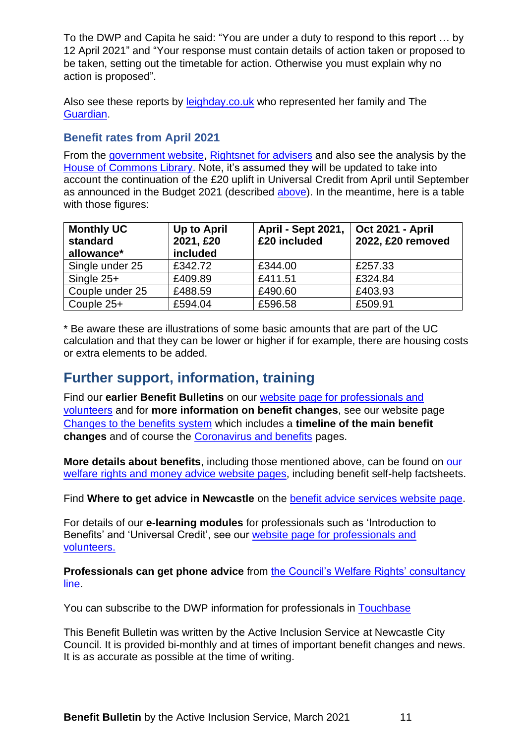To the DWP and Capita he said: "You are under a duty to respond to this report … by 12 April 2021" and "Your response must contain details of action taken or proposed to be taken, setting out the timetable for action. Otherwise you must explain why no action is proposed".

Also see these reports by [leighday.co.uk](https://www.leighday.co.uk/latest-updates/news/2021-news/conclusion-of-inquest-into-death-of-philippa-day/) who represented her family and The [Guardian.](https://www.theguardian.com/uk-news/2021/jan/28/philippa-days-family-call-for-urgent-changes-to-benefits-system)

#### <span id="page-10-0"></span>**Benefit rates from April 2021**

From the [government website,](https://www.gov.uk/government/publications/benefit-and-pension-rates-2021-to-2022) [Rightsnet for advisers](https://www.rightsnet.org.uk/resources/benefit-tax-credit-rates) and also see the analysis by the [House of Commons Library.](https://parliament.us16.list-manage.com/track/click?u=3ad7e4c57a864f07e4db008c4&id=48f4e92879&e=4045056713) Note, it's assumed they will be updated to take into account the continuation of the £20 uplift in Universal Credit from April until September as announced in the Budget 2021 (described [above\)](#page-2-0). In the meantime, here is a table with those figures:

| <b>Monthly UC</b><br>standard<br>allowance* | Up to April<br>2021, £20<br>included | <b>April - Sept 2021,</b><br>£20 included | <b>Oct 2021 - April</b><br>2022, £20 removed |
|---------------------------------------------|--------------------------------------|-------------------------------------------|----------------------------------------------|
| Single under 25                             | £342.72                              | £344.00                                   | £257.33                                      |
| Single $25+$                                | £409.89                              | £411.51                                   | £324.84                                      |
| Couple under 25                             | £488.59                              | £490.60                                   | £403.93                                      |
| Couple 25+                                  | £594.04                              | £596.58                                   | £509.91                                      |

\* Be aware these are illustrations of some basic amounts that are part of the UC calculation and that they can be lower or higher if for example, there are housing costs or extra elements to be added.

### <span id="page-10-1"></span>**Further support, information, training**

Find our **earlier Benefit Bulletins** on our website [page for professionals and](https://www.newcastle.gov.uk/services/benefits/welfare-rights-and-money-advice/information-professionals-and-volunteers)  [volunteers](https://www.newcastle.gov.uk/services/benefits/welfare-rights-and-money-advice/information-professionals-and-volunteers) and for **more information on benefit changes**, see our website page [Changes to the benefits system](https://www.newcastle.gov.uk/services/benefits/welfare-rights-and-money-advice/changes-benefits-system) which includes a **timeline of the main benefit changes** and of course the [Coronavirus and benefits](https://www.newcastle.gov.uk/services/welfare-benefits/welfare-rights-and-money-advice/coronavirus-and-benefits-what-changes) pages.

**More details about benefits**, including those mentioned above, can be found on [our](https://www.newcastle.gov.uk/services/benefits/welfare-rights-and-money-advice)  [welfare rights and money advice website](https://www.newcastle.gov.uk/services/benefits/welfare-rights-and-money-advice) pages, including benefit self-help factsheets.

Find **Where to get advice in Newcastle** on the [benefit advice services website](https://www.newcastle.gov.uk/services/benefits/welfare-rights-and-money-advice/benefit-advice-services-newcastle-and-benefit) page.

For details of our **e-learning modules** for professionals such as 'Introduction to Benefits' and 'Universal Credit', see our website [page for professionals and](https://www.newcastle.gov.uk/services/benefits/welfare-rights-and-money-advice/information-professionals-and-volunteers)  [volunteers.](https://www.newcastle.gov.uk/services/benefits/welfare-rights-and-money-advice/information-professionals-and-volunteers)

**Professionals can get phone advice** from [the Council's Welfare Rights' consultancy](https://www.newcastle.gov.uk/services/welfare-benefits/welfare-rights-and-money-advice/information-professionals-and-volunteers#consult)  [line.](https://www.newcastle.gov.uk/services/welfare-benefits/welfare-rights-and-money-advice/information-professionals-and-volunteers#consult)

You can subscribe to the DWP information for professionals in [Touchbase](https://www.gov.uk/government/publications/touchbase-dwp-news-about-work-working-age-benefits-and-services)

This Benefit Bulletin was written by the Active Inclusion Service at Newcastle City Council. It is provided bi-monthly and at times of important benefit changes and news. It is as accurate as possible at the time of writing.